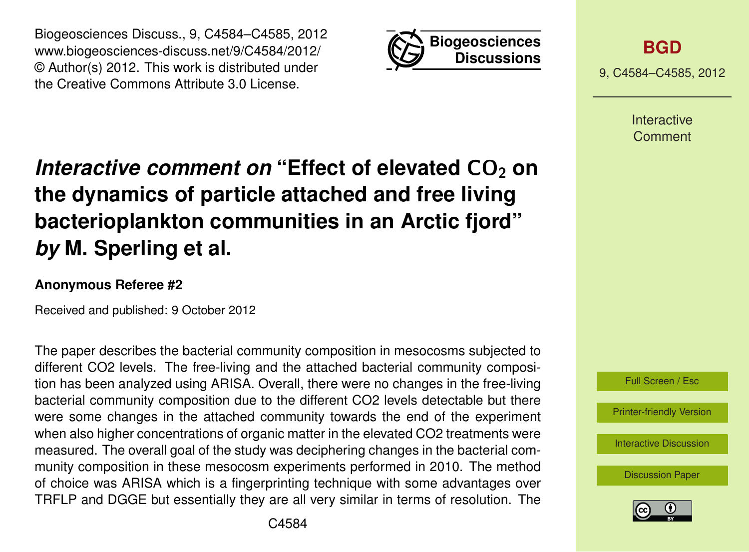Biogeosciences Discuss., 9, C4584–C4585, 2012 www.biogeosciences-discuss.net/9/C4584/2012/ © Author(s) 2012. This work is distributed under the Creative Commons Attribute 3.0 License.



**[BGD](http://www.biogeosciences-discuss.net)**

9, C4584–C4585, 2012

Interactive Comment

## *Interactive comment on* "Effect of elevated CO<sub>2</sub> on **the dynamics of particle attached and free living bacterioplankton communities in an Arctic fjord"** *by* **M. Sperling et al.**

## **Anonymous Referee #2**

Received and published: 9 October 2012

The paper describes the bacterial community composition in mesocosms subjected to different CO2 levels. The free-living and the attached bacterial community composition has been analyzed using ARISA. Overall, there were no changes in the free-living bacterial community composition due to the different CO2 levels detectable but there were some changes in the attached community towards the end of the experiment when also higher concentrations of organic matter in the elevated CO2 treatments were measured. The overall goal of the study was deciphering changes in the bacterial community composition in these mesocosm experiments performed in 2010. The method of choice was ARISA which is a fingerprinting technique with some advantages over TRFLP and DGGE but essentially they are all very similar in terms of resolution. The